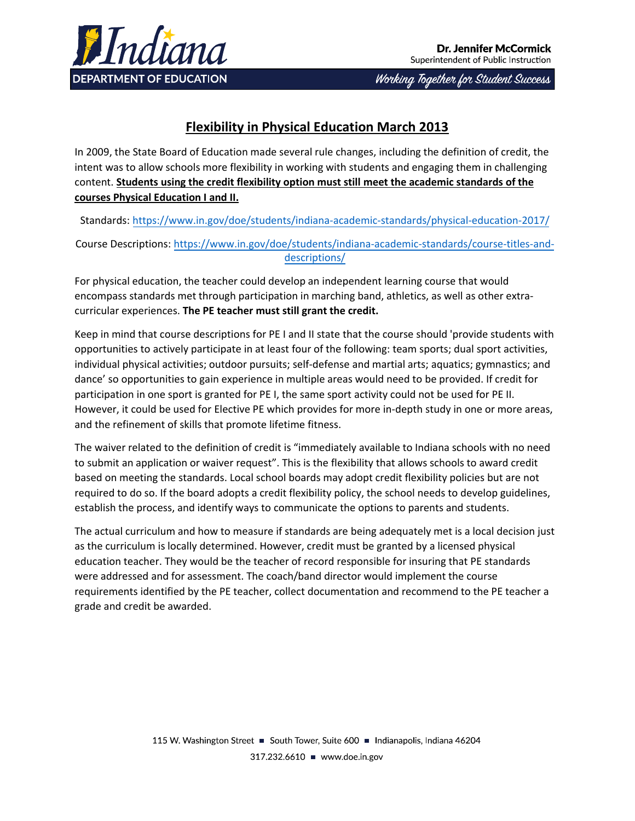

Working Together for Student Success

# **Flexibility in Physical Education March 2013**

In 2009, the State Board of Education made several rule changes, including the definition of credit, the intent was to allow schools more flexibility in working with students and engaging them in challenging content. **Students using the credit flexibility option must still meet the academic standards of the courses Physical Education I and II.**

Standards: https://www.in.g[ov/doe/students/indiana-academic-standards/physical-](http://www.doe.in.gov/standards/physical-education)education-2017/

Course Descriptions: [https://www](https://www.in.gov/doe/students/indiana-academic-standards/course-titles-and-descriptions/)[.in.gov/doe/students/indiana-academic-standards/cours](http://www.doe.in.gov/ccr/course-titles-and-descriptions)[e-titles-and](https://www.in.gov/doe/students/indiana-academic-standards/course-titles-and-descriptions/)descriptions/

For physical education, the teacher could develop an independent learning course that would encompass standards met through participation in marching band, athletics, as well as other extracurricular experiences. **The PE teacher must still grant the credit.**

Keep in mind that course descriptions for PE I and II state that the course should 'provide students with opportunities to actively participate in at least four of the following: team sports; dual sport activities, individual physical activities; outdoor pursuits; self-defense and martial arts; aquatics; gymnastics; and dance' so opportunities to gain experience in multiple areas would need to be provided. If credit for participation in one sport is granted for PE I, the same sport activity could not be used for PE II. However, it could be used for Elective PE which provides for more in-depth study in one or more areas, and the refinement of skills that promote lifetime fitness.

The waiver related to the definition of credit is "immediately available to Indiana schools with no need to submit an application or waiver request". This is the flexibility that allows schools to award credit based on meeting the standards. Local school boards may adopt credit flexibility policies but are not required to do so. If the board adopts a credit flexibility policy, the school needs to develop guidelines, establish the process, and identify ways to communicate the options to parents and students.

The actual curriculum and how to measure if standards are being adequately met is a local decision just as the curriculum is locally determined. However, credit must be granted by a licensed physical education teacher. They would be the teacher of record responsible for insuring that PE standards were addressed and for assessment. The coach/band director would implement the course requirements identified by the PE teacher, collect documentation and recommend to the PE teacher a grade and credit be awarded.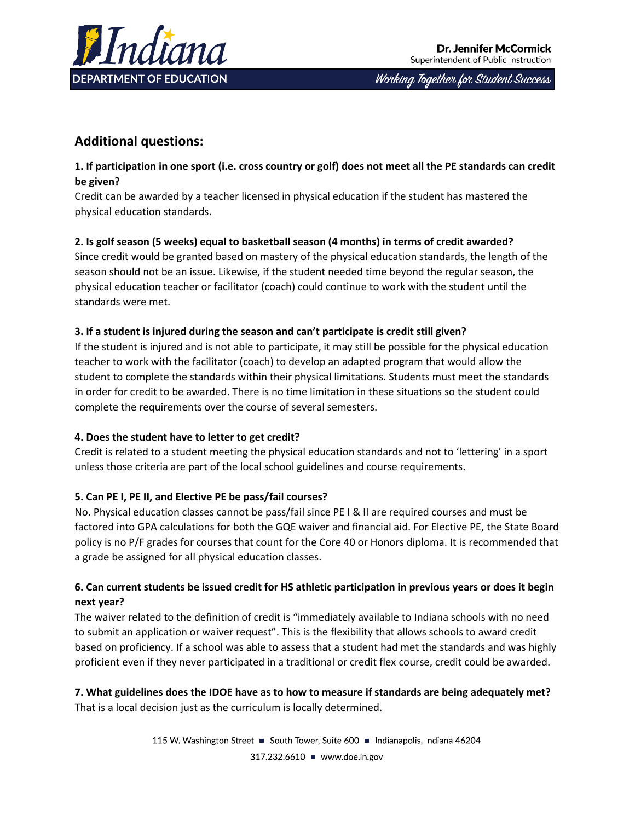

Working Together for Student Success

# **Additional questions:**

## **1. If participation in one sport (i.e. cross country or golf) does not meet all the PE standards can credit be given?**

Credit can be awarded by a teacher licensed in physical education if the student has mastered the physical education standards.

## **2. Is golf season (5 weeks) equal to basketball season (4 months) in terms of credit awarded?**

Since credit would be granted based on mastery of the physical education standards, the length of the season should not be an issue. Likewise, if the student needed time beyond the regular season, the physical education teacher or facilitator (coach) could continue to work with the student until the standards were met.

## **3. If a student is injured during the season and can't participate is credit still given?**

If the student is injured and is not able to participate, it may still be possible for the physical education teacher to work with the facilitator (coach) to develop an adapted program that would allow the student to complete the standards within their physical limitations. Students must meet the standards in order for credit to be awarded. There is no time limitation in these situations so the student could complete the requirements over the course of several semesters.

## **4. Does the student have to letter to get credit?**

Credit is related to a student meeting the physical education standards and not to 'lettering' in a sport unless those criteria are part of the local school guidelines and course requirements.

## **5. Can PE I, PE II, and Elective PE be pass/fail courses?**

No. Physical education classes cannot be pass/fail since PE I & II are required courses and must be factored into GPA calculations for both the GQE waiver and financial aid. For Elective PE, the State Board policy is no P/F grades for courses that count for the Core 40 or Honors diploma. It is recommended that a grade be assigned for all physical education classes.

## **6. Can current students be issued credit for HS athletic participation in previous years or does it begin next year?**

The waiver related to the definition of credit is "immediately available to Indiana schools with no need to submit an application or waiver request". This is the flexibility that allows schools to award credit based on proficiency. If a school was able to assess that a student had met the standards and was highly proficient even if they never participated in a traditional or credit flex course, credit could be awarded.

#### **7. What guidelines does the IDOE have as to how to measure if standards are being adequately met?**  That is a local decision just as the curriculum is locally determined.

115 W. Washington Street ■ South Tower, Suite 600 ■ Indianapolis, Indiana 46204 317.232.6610 - www.doe.in.gov